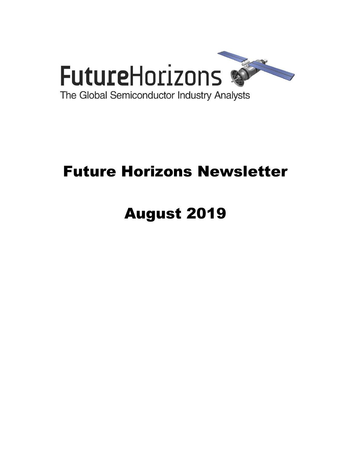

# Future Horizons Newsletter

# August 2019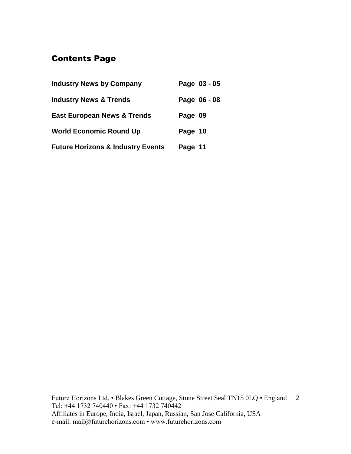# Contents Page

| <b>Industry News by Company</b>              |         | Page 03 - 05 |
|----------------------------------------------|---------|--------------|
| <b>Industry News &amp; Trends</b>            |         | Page 06 - 08 |
| <b>East European News &amp; Trends</b>       | Page 09 |              |
| <b>World Economic Round Up</b>               | Page 10 |              |
| <b>Future Horizons &amp; Industry Events</b> | Page 11 |              |

Future Horizons Ltd, • Blakes Green Cottage, Stone Street Seal TN15 0LQ • England 2 Tel: +44 1732 740440 • Fax: +44 1732 740442 Affiliates in Europe, India, Israel, Japan, Russian, San Jose California, USA e-mail: mail@futurehorizons.com • www.futurehorizons.com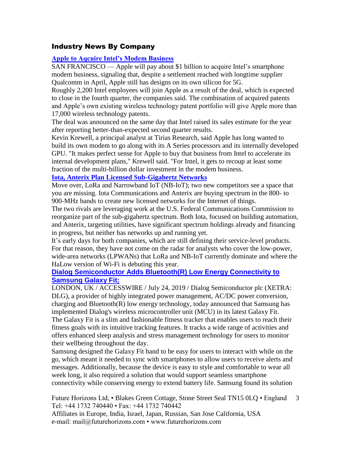#### Industry News By Company

#### **[Apple to Aqcuire Intel's Modem Business](https://www.eetindia.co.in/news/article/Apple-to-Aqcuire-Intels-Modem-Business?utm_source=EETI%20Article%20Alert&utm_medium=Email&utm_campaign=2019-07-30)**

SAN FRANCISCO — Apple will pay about \$1 billion to acquire Intel's smartphone modem business, signaling that, despite a settlement reached with longtime supplier Qualcomm in April, Apple still has designs on its own silicon for 5G.

Roughly 2,200 Intel employees will join Apple as a result of the deal, which is expected to close in the fourth quarter, the companies said. The combination of acquired patents and Apple's own existing wireless technology patent portfolio will give Apple more than 17,000 wireless technology patents.

The deal was announced on the same day that Intel raised its sales estimate for the year after reporting better-than-expected second quarter results.

Kevin Krewell, a principal analyst at Tirias Research, said Apple has long wanted to build its own modem to go along with its A Series processors and its internally developed GPU. "It makes perfect sense for Apple to buy that business from Intel to accelerate its internal development plans," Krewell said. "For Intel, it gets to recoup at least some fraction of the multi-billion dollar investment in the modem business.

#### **[Iota, Anterix Plan Licensed Sub-Gigahertz Networks](https://www.eetindia.co.in/news/article/Iota-Anterix-Plan-Licensed-Sub-Gigahertz-Networks)**

Move over, LoRa and Narrowband IoT (NB-IoT); two new competitors see a space that you are missing. Iota Communications and Anterix are buying spectrum in the 800- to 900-MHz bands to create new licensed networks for the Internet of things.

The two rivals are leveraging work at the U.S. Federal Communications Commission to reorganize part of the sub-gigahertz spectrum. Both Iota, focused on building automation, and Anterix, targeting utilities, have significant spectrum holdings already and financing in progress, but neither has networks up and running yet.

It's early days for both companies, which are still defining their service-level products. For that reason, they have not come on the radar for analysts who cover the low-power, wide-area networks (LPWANs) that LoRa and NB-IoT currently dominate and where the HaLow version of Wi-Fi is debuting this year.

#### **[Dialog Semiconductor Adds Bluetooth\(R\) Low Energy Connectivity to](https://finance.yahoo.com/news/dialog-semiconductor-adds-bluetooth-r-061500355.html?guccounter=1&guce_referrer=aHR0cHM6Ly93d3cuZ29vZ2xlLmNvbS8&guce_referrer_sig=AQAAADQGgiQ8N1equUm86ZGDgyycggcmcuO13RsO6lxWcOZHinDEMwSmAQ_cOKeqDHeoHLLI4b_Xli3HDjnIhwODs8a-xdP)  [Samsung Galaxy Fit;](https://finance.yahoo.com/news/dialog-semiconductor-adds-bluetooth-r-061500355.html?guccounter=1&guce_referrer=aHR0cHM6Ly93d3cuZ29vZ2xlLmNvbS8&guce_referrer_sig=AQAAADQGgiQ8N1equUm86ZGDgyycggcmcuO13RsO6lxWcOZHinDEMwSmAQ_cOKeqDHeoHLLI4b_Xli3HDjnIhwODs8a-xdP)**

LONDON, UK / ACCESSWIRE / July 24, 2019 / Dialog Semiconductor plc (XETRA: DLG), a provider of highly integrated power management, AC/DC power conversion, charging and Bluetooth $(R)$  low energy technology, today announced that Samsung has implemented Dialog's wireless microcontroller unit (MCU) in its latest Galaxy Fit. The Galaxy Fit is a slim and fashionable fitness tracker that enables users to reach their fitness goals with its intuitive tracking features. It tracks a wide range of activities and offers enhanced sleep analysis and stress management technology for users to monitor their wellbeing throughout the day.

Samsung designed the Galaxy Fit band to be easy for users to interact with while on the go, which meant it needed to sync with smartphones to allow users to receive alerts and messages. Additionally, because the device is easy to style and comfortable to wear all week long, it also required a solution that would support seamless smartphone connectivity while conserving energy to extend battery life. Samsung found its solution

Future Horizons Ltd, • Blakes Green Cottage, Stone Street Seal TN15 0LQ • England Tel: +44 1732 740440 • Fax: +44 1732 740442 3

Affiliates in Europe, India, Israel, Japan, Russian, San Jose California, USA e-mail: mail@futurehorizons.com • www.futurehorizons.com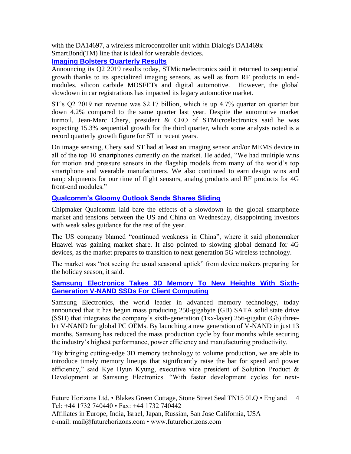with the DA14697, a wireless microcontroller unit within Dialog's DA1469x SmartBond(TM) line that is ideal for wearable devices.

#### **[Imaging Bolsters Quarterly Results](https://www.eetindia.co.in/news/article/Imaging-Bolsters-Quarterly-Results?utm_source=EETI%20Article%20Alert&utm_medium=Email&utm_campaign=2019-07-26)**

Announcing its Q2 2019 results today, STMicroelectronics said it returned to sequential growth thanks to its specialized imaging sensors, as well as from RF products in endmodules, silicon carbide MOSFETs and digital automotive. However, the global slowdown in car registrations has impacted its legacy automotive market.

ST's Q2 2019 net revenue was \$2.17 billion, which is up 4.7% quarter on quarter but down 4.2% compared to the same quarter last year. Despite the automotive market turmoil, Jean-Marc Chery, president & CEO of STMicroelectronics said he was expecting 15.3% sequential growth for the third quarter, which some analysts noted is a record quarterly growth figure for ST in recent years.

On image sensing, Chery said ST had at least an imaging sensor and/or MEMS device in all of the top 10 smartphones currently on the market. He added, "We had multiple wins for motion and pressure sensors in the flagship models from many of the world's top smartphone and wearable manufacturers. We also continued to earn design wins and ramp shipments for our time of flight sensors, analog products and RF products for 4G front-end modules."

#### **[Qualcomm's Gloomy Outlook Sends Shares Sliding](https://www.ft.com/content/9f86e000-b3d2-11e9-8cb2-799a3a8cf37b?desktop=true&segmentId=7c8f09b9-9b61-4fbb-9430-9208a9e233c8#myft:notification:daily-email:content)**

Chipmaker Qualcomm laid bare the effects of a slowdown in the global smartphone market and tensions between the US and China on Wednesday, disappointing investors with weak sales guidance for the rest of the year.

The US company blamed "continued weakness in China", where it said phonemaker Huawei was gaining market share. It also pointed to slowing global demand for 4G devices, as the market prepares to transition to next generation 5G wireless technology.

The market was "not seeing the usual seasonal uptick" from device makers preparing for the holiday season, it said.

#### **[Samsung Electronics Takes 3D Memory To New Heights With Sixth-](https://news.samsung.com/global/samsung-electronics-takes-3d-memory-to-new-heights-with-sixth-generation-v-nand-ssds-for-client-computing)[Generation V-NAND SSDs For Client Computing](https://news.samsung.com/global/samsung-electronics-takes-3d-memory-to-new-heights-with-sixth-generation-v-nand-ssds-for-client-computing)**

Samsung Electronics, the world leader in advanced memory technology, today announced that it has begun mass producing 250-gigabyte (GB) SATA solid state drive (SSD) that integrates the company's sixth-generation (1xx-layer) 256-gigabit (Gb) threebit V-NAND for global PC OEMs. By launching a new generation of V-NAND in just 13 months, Samsung has reduced the mass production cycle by four months while securing the industry's highest performance, power efficiency and manufacturing productivity.

"By bringing cutting-edge 3D memory technology to volume production, we are able to introduce timely memory lineups that significantly raise the bar for speed and power efficiency," said Kye Hyun Kyung, executive vice president of Solution Product & Development at Samsung Electronics. "With faster development cycles for next-

Future Horizons Ltd, • Blakes Green Cottage, Stone Street Seal TN15 0LQ • England Tel: +44 1732 740440 • Fax: +44 1732 740442 Affiliates in Europe, India, Israel, Japan, Russian, San Jose California, USA e-mail: mail@futurehorizons.com • www.futurehorizons.com 4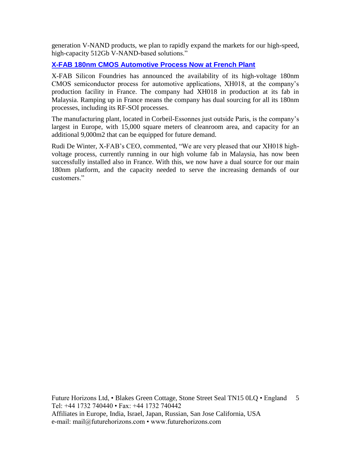generation V-NAND products, we plan to rapidly expand the markets for our high-speed, high-capacity 512Gb V-NAND-based solutions."

#### **[X-FAB 180nm CMOS Automotive Process Now at French Plant](https://www.eetimes.com/document.asp?doc_id=1334973&_mc=RSS_EET_EDT&utm_source=newsletter&utm_campaign=link&utm_medium=EETimesDaily-20190731)**

X-FAB Silicon Foundries has announced the availability of its high-voltage 180nm CMOS semiconductor process for automotive applications, XH018, at the company's production facility in France. The company had XH018 in production at its fab in Malaysia. Ramping up in France means the company has dual sourcing for all its 180nm processes, including its RF-SOI processes.

The manufacturing plant, located in Corbeil-Essonnes just outside Paris, is the company's largest in Europe, with 15,000 square meters of cleanroom area, and capacity for an additional 9,000m2 that can be equipped for future demand.

Rudi De Winter, X-FAB's CEO, commented, "We are very pleased that our XH018 highvoltage process, currently running in our high volume fab in Malaysia, has now been successfully installed also in France. With this, we now have a dual source for our main 180nm platform, and the capacity needed to serve the increasing demands of our customers."

Future Horizons Ltd, • Blakes Green Cottage, Stone Street Seal TN15 0LQ • England 5 Tel: +44 1732 740440 • Fax: +44 1732 740442 Affiliates in Europe, India, Israel, Japan, Russian, San Jose California, USA e-mail: mail@futurehorizons.com • www.futurehorizons.com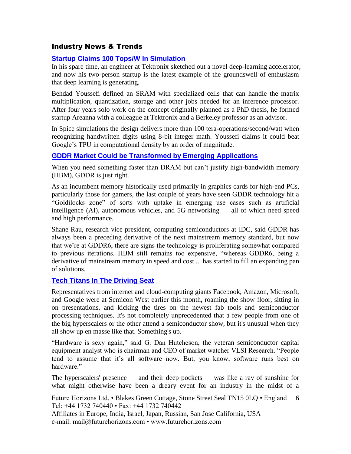#### Industry News & Trends

#### **[Startup Claims 100 Tops/W In Simulation](https://www.eetindia.co.in/news/article/Startup-Claims-100-Tops-W-in-Simulation?utm_source=EETI%20Article%20Alert&utm_medium=Email&utm_campaign=2019-07-24)**

In his spare time, an engineer at Tektronix sketched out a novel deep-learning accelerator, and now his two-person startup is the latest example of the groundswell of enthusiasm that deep learning is generating.

Behdad Youssefi defined an SRAM with specialized cells that can handle the matrix multiplication, quantization, storage and other jobs needed for an inference processor. After four years solo work on the concept originally planned as a PhD thesis, he formed startup Areanna with a colleague at Tektronix and a Berkeley professor as an advisor.

In Spice simulations the design delivers more than 100 tera-operations/second/watt when recognizing handwritten digits using 8-bit integer math. Youssefi claims it could beat Google's TPU in computational density by an order of magnitude.

#### **[GDDR Market Could be Transformed by Emerging Applications](https://www.eetindia.co.in/news/article/GDDR-Market-Could-be-Transformed-by-Emerging-Applications)**

When you need something faster than DRAM but can't justify high-bandwidth memory (HBM), GDDR is just right.

As an incumbent memory historically used primarily in graphics cards for high-end PCs, particularly those for gamers, the last couple of years have seen GDDR technology hit a "Goldilocks zone" of sorts with uptake in emerging use cases such as artificial intelligence (AI), autonomous vehicles, and 5G networking — all of which need speed and high performance.

Shane Rau, research vice president, computing semiconductors at IDC, said GDDR has always been a preceding derivative of the next mainstream memory standard, but now that we're at GDDR6, there are signs the technology is proliferating somewhat compared to previous iterations. HBM still remains too expensive, "whereas GDDR6, being a derivative of mainstream memory in speed and cost ... has started to fill an expanding pan of solutions.

#### **[Tech Titans In The Driving Seat](https://www.eetindia.co.in/news/article/Tech-Titans-in-the-Driving-Seat?utm_source=EETI%20Article%20Alert&utm_medium=Email&utm_campaign=2019-07-31)**

Representatives from internet and cloud-computing giants Facebook, Amazon, Microsoft, and Google were at Semicon West earlier this month, roaming the show floor, sitting in on presentations, and kicking the tires on the newest fab tools and semiconductor processing techniques. It's not completely unprecedented that a few people from one of the big hyperscalers or the other attend a semiconductor show, but it's unusual when they all show up en masse like that. Something's up.

"Hardware is sexy again," said G. Dan Hutcheson, the veteran semiconductor capital equipment analyst who is chairman and CEO of market watcher VLSI Research. "People tend to assume that it's all software now. But, you know, software runs best on hardware."

The hyperscalers' presence — and their deep pockets — was like a ray of sunshine for what might otherwise have been a dreary event for an industry in the midst of a

Future Horizons Ltd, • Blakes Green Cottage, Stone Street Seal TN15 0LQ • England Tel: +44 1732 740440 • Fax: +44 1732 740442 6

Affiliates in Europe, India, Israel, Japan, Russian, San Jose California, USA e-mail: mail@futurehorizons.com • www.futurehorizons.com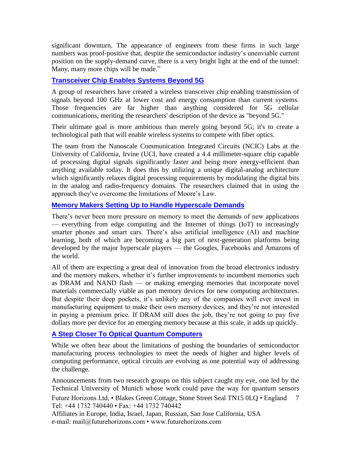significant downturn. The appearance of engineers from these firms in such large numbers was proof-positive that, despite the semiconductor industry's unenviable current position on the supply-demand curve, there is a very bright light at the end of the tunnel: Many, many more chips will be made."

#### **[Transceiver Chip Enables Systems Beyond 5G](https://www.eetindia.co.in/news/article/Transceiver-Chip-Enables-Systems-Beyond-5G)**

A group of researchers have created a wireless transceiver chip enabling transmission of signals beyond 100 GHz at lower cost and energy consumption than current systems. Those frequencies are far higher than anything considered for 5G cellular communications, meriting the researchers' description of the device as "beyond 5G."

Their ultimate goal is more ambitious than merely going beyond 5G; it's to create a technological path that will enable wireless systems to compete with fiber optics.

The team from the Nanoscale Communication Integrated Circuits (NCIC) Labs at the University of California, Irvine (UCI, have created a 4.4 millimeter-square chip capable of processing digital signals significantly faster and being more energy-efficient than anything available today. It does this by utilizing a unique digital-analog architecture which significantly relaxes digital processing requirements by modulating the digital bits in the analog and radio-frequency domains. The researchers claimed that in using the approach they've overcome the limitations of Moore's Law.

#### **[Memory Makers Setting Up to Handle Hyperscale Demands](https://www.eetindia.co.in/news/article/Memory-Makers-Setting-Up-to-Handle-Hyperscale-Demands)**

There's never been more pressure on memory to meet the demands of new applications — everything from edge computing and the Internet of things (IoT) to increasingly smarter phones and smart cars. There's also artificial intelligence (AI) and machine learning, both of which are becoming a big part of next-generation platforms being developed by the major hyperscale players — the Googles, Facebooks and Amazons of the world.

All of them are expecting a great deal of innovation from the broad electronics industry and the memory makers, whether it's further improvements to incumbent memories such as DRAM and NAND flash — or making emerging memories that incorporate novel materials commercially viable as part memory devices for new computing architectures. But despite their deep pockets, it's unlikely any of the companies will ever invest in manufacturing equipment to make their own memory devices, and they're not interested in paying a premium price. If DRAM still does the job, they're not going to pay five dollars more per device for an emerging memory because at this scale, it adds up quickly.

#### **[A Step Closer To Optical Quantum Computers](https://www.eetindia.co.in/news/article/A-Step-Closer-to-Optical-Quantum-Computers?utm_source=EETI%20Article%20Alert&utm_medium=Email&utm_campaign=2019-08-06)**

While we often hear about the limitations of pushing the boundaries of semiconductor manufacturing process technologies to meet the needs of higher and higher levels of computing performance, optical circuits are evolving as one potential way of addressing the challenge.

Future Horizons Ltd, • Blakes Green Cottage, Stone Street Seal TN15 0LQ • England Tel: +44 1732 740440 • Fax: +44 1732 740442 7 Announcements from two research groups on this subject caught my eye, one led by the Technical University of Munich whose work could pave the way for quantum sensors

Affiliates in Europe, India, Israel, Japan, Russian, San Jose California, USA e-mail: mail@futurehorizons.com • www.futurehorizons.com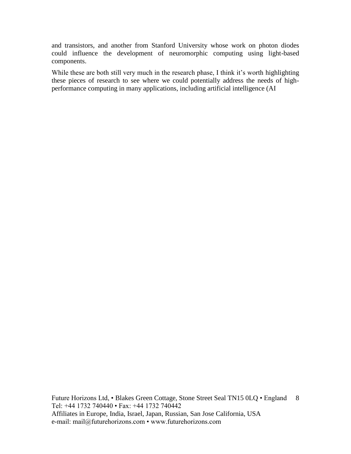and transistors, and another from Stanford University whose work on photon diodes could influence the development of neuromorphic computing using light-based components.

While these are both still very much in the research phase, I think it's worth highlighting these pieces of research to see where we could potentially address the needs of highperformance computing in many applications, including artificial intelligence (AI

Future Horizons Ltd, • Blakes Green Cottage, Stone Street Seal TN15 0LQ • England 8 Tel: +44 1732 740440 • Fax: +44 1732 740442 Affiliates in Europe, India, Israel, Japan, Russian, San Jose California, USA e-mail: mail@futurehorizons.com • www.futurehorizons.com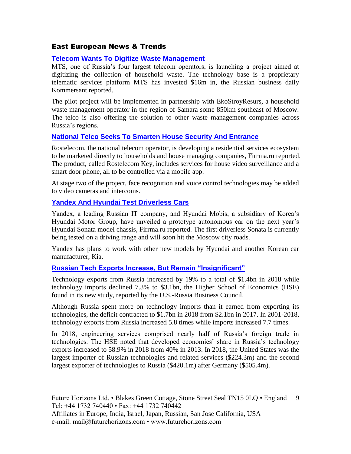#### East European News & Trends

#### **[Telecom Wants To Digitize Waste Management](http://www.marchmontnews.com/Energy-Utilities/Volga/22110-Telecom-wants-digitize-waste-management-.html)**

MTS, one of Russia's four largest telecom operators, is launching a project aimed at digitizing the collection of household waste. The technology base is a proprietary telematic services platform MTS has invested \$16m in, the Russian business daily Kommersant reported.

The pilot project will be implemented in partnership with EkoStroyResurs, a household waste management operator in the region of Samara some 850km southeast of Moscow. The telco is also offering the solution to other waste management companies across Russia's regions.

#### **[National Telco Seeks To Smarten House Security And Entrance](http://www.marchmontnews.com/Energy-Utilities/Central-regions/22106-National-telco-seeks-smarten-house-security-and-entrance.html)**

Rostelecom, the national telecom operator, is developing a residential services ecosystem to be marketed directly to households and house managing companies, Firrma.ru reported. The product, called Rostelecom Key, includes services for house video surveillance and a smart door phone, all to be controlled via a mobile app.

At stage two of the project, face recognition and voice control technologies may be added to video cameras and intercoms.

#### **[Yandex And Hyundai Test Driverless Cars](http://www.marchmontnews.com/Transport-Logistics/Central-regions/22102-Yandex-and-Hyundai-test-driverless-cars.html)**

Yandex, a leading Russian IT company, and Hyundai Mobis, a subsidiary of Korea's Hyundai Motor Group, have unveiled a prototype autonomous car on the next year's Hyundai Sonata model chassis, Firrma.ru reported. The first driverless Sonata is currently being tested on a driving range and will soon hit the Moscow city roads.

Yandex has plans to work with other new models by Hyundai and another Korean car manufacturer, Kia.

#### **[Russian Tech Exports Increase, But Remain "Insignificant"](http://www.marchmontnews.com/Finance-Business/Central-regions/22126-Russian-tech-exports-increase-but-remain-insignificant.html)**

Technology exports from Russia increased by 19% to a total of \$1.4bn in 2018 while technology imports declined 7.3% to \$3.1bn, the Higher School of Economics (HSE) found in its new study, reported by the U.S.-Russia Business Council.

Although Russia spent more on technology imports than it earned from exporting its technologies, the deficit contracted to \$1.7bn in 2018 from \$2.1bn in 2017. In 2001-2018, technology exports from Russia increased 5.8 times while imports increased 7.7 times.

In 2018, engineering services comprised nearly half of Russia's foreign trade in technologies. The HSE noted that developed economies' share in Russia's technology exports increased to 58.9% in 2018 from 40% in 2013. In 2018, the United States was the largest importer of Russian technologies and related services (\$224.3m) and the second largest exporter of technologies to Russia (\$420.1m) after Germany (\$505.4m).

Future Horizons Ltd, • Blakes Green Cottage, Stone Street Seal TN15 0LQ • England 9 Tel: +44 1732 740440 • Fax: +44 1732 740442 Affiliates in Europe, India, Israel, Japan, Russian, San Jose California, USA e-mail: mail@futurehorizons.com • www.futurehorizons.com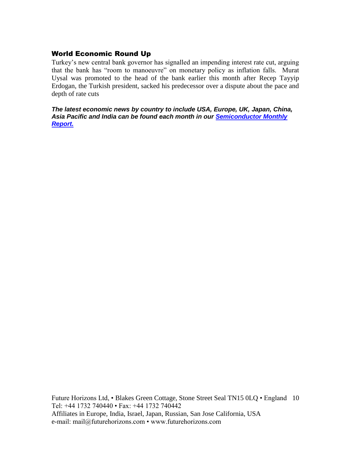#### World Economic Round Up

Turkey's new central bank governor has signalled an impending interest rate cut, arguing that the bank has "room to manoeuvre" on monetary policy as inflation falls. Murat Uysal was promoted to the head of the bank earlier this month after Recep Tayyip Erdogan, the Turkish president, sacked his predecessor over a dispute about the pace and depth of rate cuts

*The latest economic news by country to include USA, Europe, UK, Japan, China, Asia Pacific and India can be found each month in our [Semiconductor Monthly](http://www.futurehorizons.com/page/18/Global-Semiconductor-Report)  [Report.](http://www.futurehorizons.com/page/18/Global-Semiconductor-Report)* 

Future Horizons Ltd, • Blakes Green Cottage, Stone Street Seal TN15 0LQ • England 10 Tel: +44 1732 740440 • Fax: +44 1732 740442 Affiliates in Europe, India, Israel, Japan, Russian, San Jose California, USA e-mail: mail@futurehorizons.com • www.futurehorizons.com